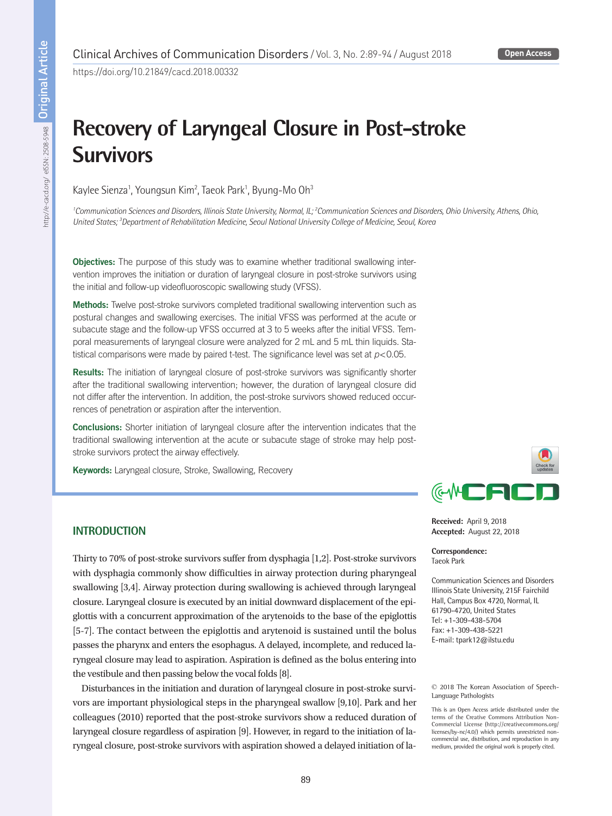#### **Open Access**

https://doi.org/10.21849/cacd.2018.00332

# **Recovery of Laryngeal Closure in Post-stroke Survivors**

Kaylee Sienza<sup>1</sup>, Youngsun Kim<sup>2</sup>, Taeok Park<sup>1</sup>, Byung-Mo Oh<sup>3</sup>

<sup>1</sup> Communication Sciences and Disorders, Illinois State University, Normal, IL; <sup>2</sup> Communication Sciences and Disorders, Ohio University, Athens, Ohio, United States;<sup>3</sup> Department of Rehabilitation Medicine, Seoul National University College of Medicine, Seoul, Korea

**Objectives:** The purpose of this study was to examine whether traditional swallowing intervention improves the initiation or duration of laryngeal closure in post-stroke survivors using the initial and follow-up videofluoroscopic swallowing study (VFSS).

Methods: Twelve post-stroke survivors completed traditional swallowing intervention such as postural changes and swallowing exercises. The initial VFSS was performed at the acute or subacute stage and the follow-up VFSS occurred at 3 to 5 weeks after the initial VFSS. Temporal measurements of laryngeal closure were analyzed for 2 mL and 5 mL thin liquids. Statistical comparisons were made by paired t-test. The significance level was set at *p*<0.05.

**Results:** The initiation of laryngeal closure of post-stroke survivors was significantly shorter after the traditional swallowing intervention; however, the duration of laryngeal closure did not differ after the intervention. In addition, the post-stroke survivors showed reduced occurrences of penetration or aspiration after the intervention.

Conclusions: Shorter initiation of laryngeal closure after the intervention indicates that the traditional swallowing intervention at the acute or subacute stage of stroke may help poststroke survivors protect the airway effectively.

Keywords: Laryngeal closure, Stroke, Swallowing, Recovery



**Received:** April 9, 2018 **Accepted:** August 22, 2018

**Correspondence:** Taeok Park

Communication Sciences and Disorders Illinois State University, 215F Fairchild Hall, Campus Box 4720, Normal, IL 61790-4720, United States Tel: +1-309-438-5704 Fax: +1-309-438-5221 E-mail: tpark12@ilstu.edu

© 2018 The Korean Association of Speech-Language Pathologists

This is an Open Access article distributed under the terms of the Creative Commons Attribution Non-Commercial License (http://creativecommons.org/ licenses/by-nc/4.0/) which permits unrestricted noncommercial use, distribution, and reproduction in any medium, provided the original work is properly cited.

## **INTRODUCTION**

Thirty to 70% of post-stroke survivors suffer from dysphagia [1,2]. Post-stroke survivors with dysphagia commonly show difficulties in airway protection during pharyngeal swallowing [3,4]. Airway protection during swallowing is achieved through laryngeal closure. Laryngeal closure is executed by an initial downward displacement of the epiglottis with a concurrent approximation of the arytenoids to the base of the epiglottis [5-7]. The contact between the epiglottis and arytenoid is sustained until the bolus passes the pharynx and enters the esophagus. A delayed, incomplete, and reduced laryngeal closure may lead to aspiration. Aspiration is defined as the bolus entering into the vestibule and then passing below the vocal folds [8].

Disturbances in the initiation and duration of laryngeal closure in post-stroke survivors are important physiological steps in the pharyngeal swallow [9,10]. Park and her colleagues (2010) reported that the post-stroke survivors show a reduced duration of laryngeal closure regardless of aspiration [9]. However, in regard to the initiation of laryngeal closure, post-stroke survivors with aspiration showed a delayed initiation of la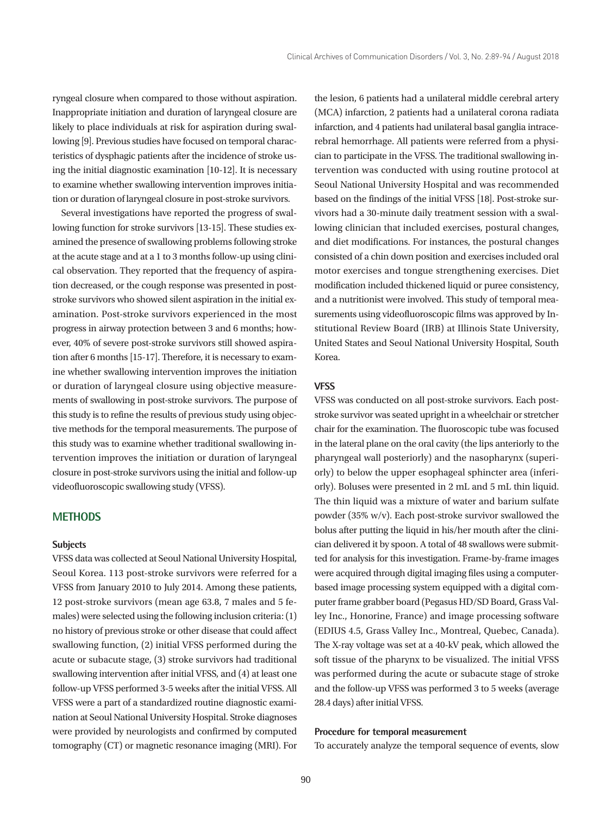ryngeal closure when compared to those without aspiration. Inappropriate initiation and duration of laryngeal closure are likely to place individuals at risk for aspiration during swallowing [9]. Previous studies have focused on temporal characteristics of dysphagic patients after the incidence of stroke using the initial diagnostic examination [10-12]. It is necessary to examine whether swallowing intervention improves initiation or duration of laryngeal closure in post-stroke survivors.

Several investigations have reported the progress of swallowing function for stroke survivors [13-15]. These studies examined the presence of swallowing problems following stroke at the acute stage and at a 1 to 3 months follow-up using clinical observation. They reported that the frequency of aspiration decreased, or the cough response was presented in poststroke survivors who showed silent aspiration in the initial examination. Post-stroke survivors experienced in the most progress in airway protection between 3 and 6 months; however, 40% of severe post-stroke survivors still showed aspiration after 6 months [15-17]. Therefore, it is necessary to examine whether swallowing intervention improves the initiation or duration of laryngeal closure using objective measurements of swallowing in post-stroke survivors. The purpose of this study is to refine the results of previous study using objective methods for the temporal measurements. The purpose of this study was to examine whether traditional swallowing intervention improves the initiation or duration of laryngeal closure in post-stroke survivors using the initial and follow-up videofluoroscopic swallowing study (VFSS).

## **METHODS**

#### **Subjects**

VFSS data was collected at Seoul National University Hospital, Seoul Korea. 113 post-stroke survivors were referred for a VFSS from January 2010 to July 2014. Among these patients, 12 post-stroke survivors (mean age 63.8, 7 males and 5 females) were selected using the following inclusion criteria: (1) no history of previous stroke or other disease that could affect swallowing function, (2) initial VFSS performed during the acute or subacute stage, (3) stroke survivors had traditional swallowing intervention after initial VFSS, and (4) at least one follow-up VFSS performed 3-5 weeks after the initial VFSS. All VFSS were a part of a standardized routine diagnostic examination at Seoul National University Hospital. Stroke diagnoses were provided by neurologists and confirmed by computed tomography (CT) or magnetic resonance imaging (MRI). For the lesion, 6 patients had a unilateral middle cerebral artery (MCA) infarction, 2 patients had a unilateral corona radiata infarction, and 4 patients had unilateral basal ganglia intracerebral hemorrhage. All patients were referred from a physician to participate in the VFSS. The traditional swallowing intervention was conducted with using routine protocol at Seoul National University Hospital and was recommended based on the findings of the initial VFSS [18]. Post-stroke survivors had a 30-minute daily treatment session with a swallowing clinician that included exercises, postural changes, and diet modifications. For instances, the postural changes consisted of a chin down position and exercises included oral motor exercises and tongue strengthening exercises. Diet modification included thickened liquid or puree consistency, and a nutritionist were involved. This study of temporal measurements using videofluoroscopic films was approved by Institutional Review Board (IRB) at Illinois State University, United States and Seoul National University Hospital, South Korea.

## **VFSS**

VFSS was conducted on all post-stroke survivors. Each poststroke survivor was seated upright in a wheelchair or stretcher chair for the examination. The fluoroscopic tube was focused in the lateral plane on the oral cavity (the lips anteriorly to the pharyngeal wall posteriorly) and the nasopharynx (superiorly) to below the upper esophageal sphincter area (inferiorly). Boluses were presented in 2 mL and 5 mL thin liquid. The thin liquid was a mixture of water and barium sulfate powder (35% w/v). Each post-stroke survivor swallowed the bolus after putting the liquid in his/her mouth after the clinician delivered it by spoon. A total of 48 swallows were submitted for analysis for this investigation. Frame-by-frame images were acquired through digital imaging files using a computerbased image processing system equipped with a digital computer frame grabber board (Pegasus HD/SD Board, Grass Valley Inc., Honorine, France) and image processing software (EDIUS 4.5, Grass Valley Inc., Montreal, Quebec, Canada). The X-ray voltage was set at a 40-kV peak, which allowed the soft tissue of the pharynx to be visualized. The initial VFSS was performed during the acute or subacute stage of stroke and the follow-up VFSS was performed 3 to 5 weeks (average 28.4 days) after initial VFSS.

#### **Procedure for temporal measurement**

To accurately analyze the temporal sequence of events, slow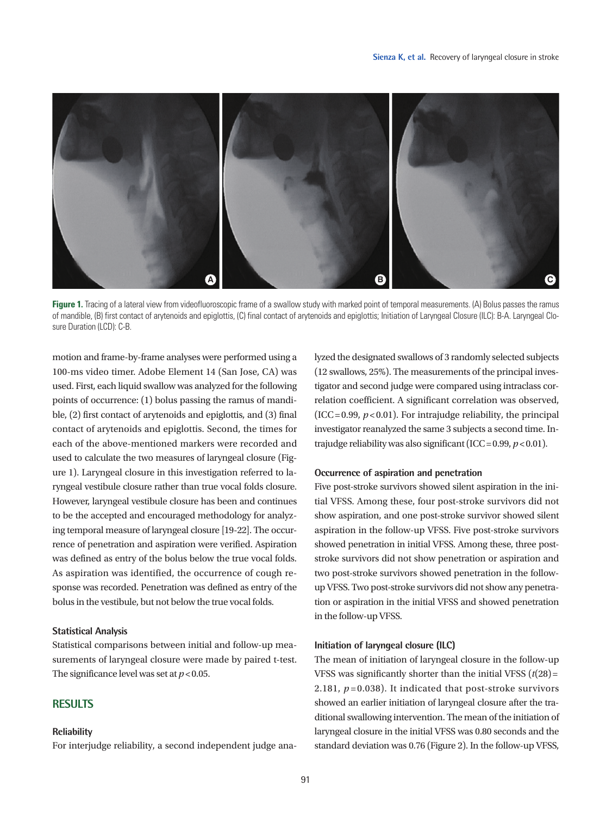

Figure 1. Tracing of a lateral view from videofluoroscopic frame of a swallow study with marked point of temporal measurements. (A) Bolus passes the ramus of mandible, (B) first contact of arytenoids and epiglottis, (C) final contact of arytenoids and epiglottis; Initiation of Laryngeal Closure (ILC): B-A. Laryngeal Closure Duration (LCD): C-B.

motion and frame-by-frame analyses were performed using a 100-ms video timer. Adobe Element 14 (San Jose, CA) was used. First, each liquid swallow was analyzed for the following points of occurrence: (1) bolus passing the ramus of mandible, (2) first contact of arytenoids and epiglottis, and (3) final contact of arytenoids and epiglottis. Second, the times for each of the above-mentioned markers were recorded and used to calculate the two measures of laryngeal closure (Figure 1). Laryngeal closure in this investigation referred to laryngeal vestibule closure rather than true vocal folds closure. However, laryngeal vestibule closure has been and continues to be the accepted and encouraged methodology for analyzing temporal measure of laryngeal closure [19-22]. The occurrence of penetration and aspiration were verified. Aspiration was defined as entry of the bolus below the true vocal folds. As aspiration was identified, the occurrence of cough response was recorded. Penetration was defined as entry of the bolus in the vestibule, but not below the true vocal folds.

#### **Statistical Analysis**

Statistical comparisons between initial and follow-up measurements of laryngeal closure were made by paired t-test. The significance level was set at  $p < 0.05$ .

## **RESULTS**

#### **Reliability**

For interjudge reliability, a second independent judge ana-

lyzed the designated swallows of 3 randomly selected subjects (12 swallows, 25%). The measurements of the principal investigator and second judge were compared using intraclass correlation coefficient. A significant correlation was observed, (ICC =  $0.99$ ,  $p < 0.01$ ). For intrajudge reliability, the principal investigator reanalyzed the same 3 subjects a second time. Intrajudge reliability was also significant (ICC = 0.99, *p*< 0.01).

#### **Occurrence of aspiration and penetration**

Five post-stroke survivors showed silent aspiration in the initial VFSS. Among these, four post-stroke survivors did not show aspiration, and one post-stroke survivor showed silent aspiration in the follow-up VFSS. Five post-stroke survivors showed penetration in initial VFSS. Among these, three poststroke survivors did not show penetration or aspiration and two post-stroke survivors showed penetration in the followup VFSS. Two post-stroke survivors did not show any penetration or aspiration in the initial VFSS and showed penetration in the follow-up VFSS.

## **Initiation of laryngeal closure (ILC)**

The mean of initiation of laryngeal closure in the follow-up VFSS was significantly shorter than the initial VFSS  $(t(28) =$ 2.181,  $p = 0.038$ ). It indicated that post-stroke survivors showed an earlier initiation of laryngeal closure after the traditional swallowing intervention. The mean of the initiation of laryngeal closure in the initial VFSS was 0.80 seconds and the standard deviation was 0.76 (Figure 2). In the follow-up VFSS,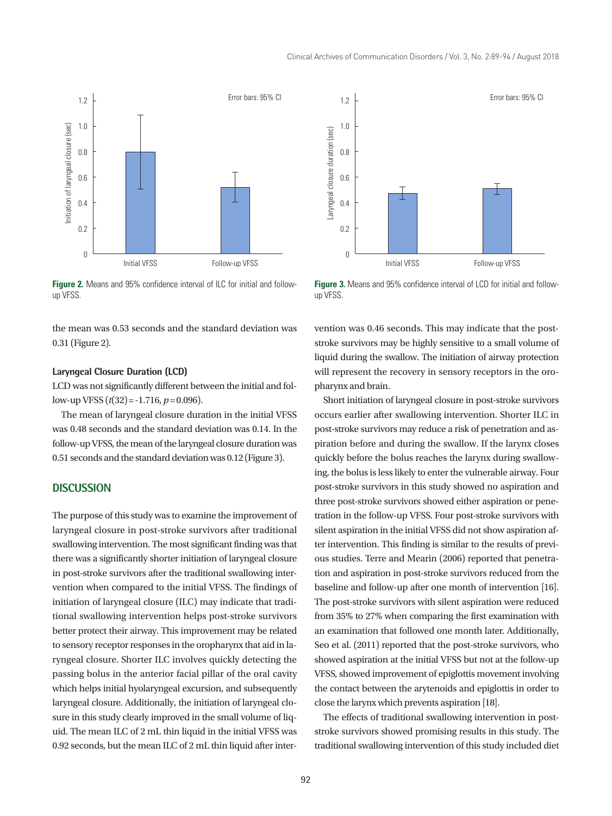

**Figure 2.** Means and 95% confidence interval of ILC for initial and followup VFSS.

the mean was 0.53 seconds and the standard deviation was 0.31 (Figure 2).

#### **Laryngeal Closure Duration (LCD)**

LCD was not significantly different between the initial and follow-up VFSS  $(t(32) = -1.716, p = 0.096)$ .

The mean of laryngeal closure duration in the initial VFSS was 0.48 seconds and the standard deviation was 0.14. In the follow-up VFSS, the mean of the laryngeal closure duration was 0.51 seconds and the standard deviation was 0.12 (Figure 3).

### **DISCUSSION**

The purpose of this study was to examine the improvement of laryngeal closure in post-stroke survivors after traditional swallowing intervention. The most significant finding was that there was a significantly shorter initiation of laryngeal closure in post-stroke survivors after the traditional swallowing intervention when compared to the initial VFSS. The findings of initiation of laryngeal closure (ILC) may indicate that traditional swallowing intervention helps post-stroke survivors better protect their airway. This improvement may be related to sensory receptor responses in the oropharynx that aid in laryngeal closure. Shorter ILC involves quickly detecting the passing bolus in the anterior facial pillar of the oral cavity which helps initial hyolaryngeal excursion, and subsequently laryngeal closure. Additionally, the initiation of laryngeal closure in this study clearly improved in the small volume of liquid. The mean ILC of 2 mL thin liquid in the initial VFSS was 0.92 seconds, but the mean ILC of 2 mL thin liquid after inter-



**Figure 3.** Means and 95% confidence interval of LCD for initial and followup VFSS.

vention was 0.46 seconds. This may indicate that the poststroke survivors may be highly sensitive to a small volume of liquid during the swallow. The initiation of airway protection will represent the recovery in sensory receptors in the oropharynx and brain.

Short initiation of laryngeal closure in post-stroke survivors occurs earlier after swallowing intervention. Shorter ILC in post-stroke survivors may reduce a risk of penetration and aspiration before and during the swallow. If the larynx closes quickly before the bolus reaches the larynx during swallowing, the bolus is less likely to enter the vulnerable airway. Four post-stroke survivors in this study showed no aspiration and three post-stroke survivors showed either aspiration or penetration in the follow-up VFSS. Four post-stroke survivors with silent aspiration in the initial VFSS did not show aspiration after intervention. This finding is similar to the results of previous studies. Terre and Mearin (2006) reported that penetration and aspiration in post-stroke survivors reduced from the baseline and follow-up after one month of intervention [16]. The post-stroke survivors with silent aspiration were reduced from 35% to 27% when comparing the first examination with an examination that followed one month later. Additionally, Seo et al. (2011) reported that the post-stroke survivors, who showed aspiration at the initial VFSS but not at the follow-up VFSS, showed improvement of epiglottis movement involving the contact between the arytenoids and epiglottis in order to close the larynx which prevents aspiration [18].

The effects of traditional swallowing intervention in poststroke survivors showed promising results in this study. The traditional swallowing intervention of this study included diet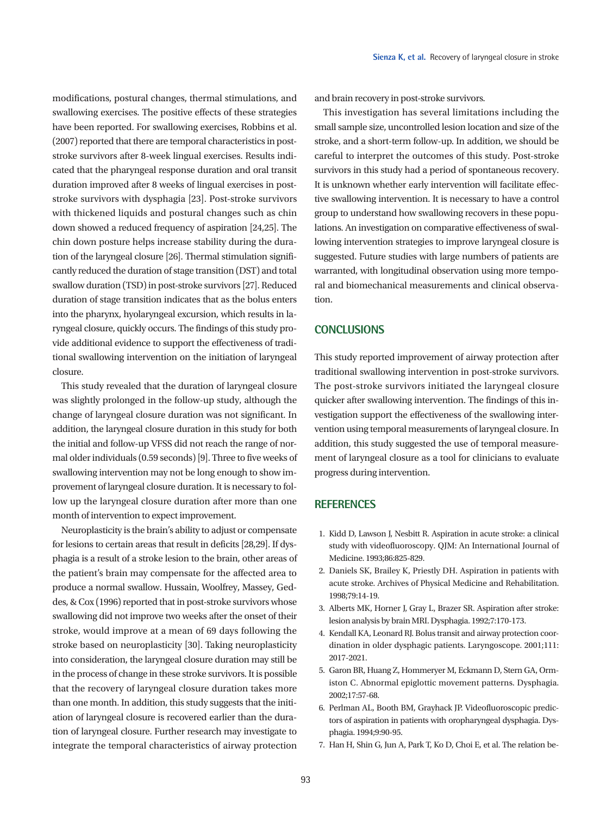modifications, postural changes, thermal stimulations, and swallowing exercises. The positive effects of these strategies have been reported. For swallowing exercises, Robbins et al. (2007) reported that there are temporal characteristics in poststroke survivors after 8-week lingual exercises. Results indicated that the pharyngeal response duration and oral transit duration improved after 8 weeks of lingual exercises in poststroke survivors with dysphagia [23]. Post-stroke survivors with thickened liquids and postural changes such as chin down showed a reduced frequency of aspiration [24,25]. The chin down posture helps increase stability during the duration of the laryngeal closure [26]. Thermal stimulation significantly reduced the duration of stage transition (DST) and total swallow duration (TSD) in post-stroke survivors [27]. Reduced duration of stage transition indicates that as the bolus enters into the pharynx, hyolaryngeal excursion, which results in laryngeal closure, quickly occurs. The findings of this study provide additional evidence to support the effectiveness of traditional swallowing intervention on the initiation of laryngeal closure.

This study revealed that the duration of laryngeal closure was slightly prolonged in the follow-up study, although the change of laryngeal closure duration was not significant. In addition, the laryngeal closure duration in this study for both the initial and follow-up VFSS did not reach the range of normal older individuals (0.59 seconds) [9]. Three to five weeks of swallowing intervention may not be long enough to show improvement of laryngeal closure duration. It is necessary to follow up the laryngeal closure duration after more than one month of intervention to expect improvement.

Neuroplasticity is the brain's ability to adjust or compensate for lesions to certain areas that result in deficits [28,29]. If dysphagia is a result of a stroke lesion to the brain, other areas of the patient's brain may compensate for the affected area to produce a normal swallow. Hussain, Woolfrey, Massey, Geddes, & Cox (1996) reported that in post-stroke survivors whose swallowing did not improve two weeks after the onset of their stroke, would improve at a mean of 69 days following the stroke based on neuroplasticity [30]. Taking neuroplasticity into consideration, the laryngeal closure duration may still be in the process of change in these stroke survivors. It is possible that the recovery of laryngeal closure duration takes more than one month. In addition, this study suggests that the initiation of laryngeal closure is recovered earlier than the duration of laryngeal closure. Further research may investigate to integrate the temporal characteristics of airway protection

and brain recovery in post-stroke survivors.

This investigation has several limitations including the small sample size, uncontrolled lesion location and size of the stroke, and a short-term follow-up. In addition, we should be careful to interpret the outcomes of this study. Post-stroke survivors in this study had a period of spontaneous recovery. It is unknown whether early intervention will facilitate effective swallowing intervention. It is necessary to have a control group to understand how swallowing recovers in these populations. An investigation on comparative effectiveness of swallowing intervention strategies to improve laryngeal closure is suggested. Future studies with large numbers of patients are warranted, with longitudinal observation using more temporal and biomechanical measurements and clinical observation.

## **CONCLUSIONS**

This study reported improvement of airway protection after traditional swallowing intervention in post-stroke survivors. The post-stroke survivors initiated the laryngeal closure quicker after swallowing intervention. The findings of this investigation support the effectiveness of the swallowing intervention using temporal measurements of laryngeal closure. In addition, this study suggested the use of temporal measurement of laryngeal closure as a tool for clinicians to evaluate progress during intervention.

## **REFERENCES**

- 1. Kidd D, Lawson J, Nesbitt R. Aspiration in acute stroke: a clinical study with videofluoroscopy. QJM: An International Journal of Medicine. 1993;86:825-829.
- 2. Daniels SK, Brailey K, Priestly DH. Aspiration in patients with acute stroke. Archives of Physical Medicine and Rehabilitation. 1998;79:14-19.
- 3. Alberts MK, Horner J, Gray L, Brazer SR. Aspiration after stroke: lesion analysis by brain MRI. Dysphagia. 1992;7:170-173.
- 4. Kendall KA, Leonard RJ. Bolus transit and airway protection coordination in older dysphagic patients. Laryngoscope. 2001;111: 2017-2021.
- 5. Garon BR, Huang Z, Hommeryer M, Eckmann D, Stern GA, Ormiston C. Abnormal epiglottic movement patterns. Dysphagia. 2002;17:57-68.
- 6. Perlman AL, Booth BM, Grayhack JP. Videofluoroscopic predictors of aspiration in patients with oropharyngeal dysphagia. Dysphagia. 1994;9:90-95.
- 7. Han H, Shin G, Jun A, Park T, Ko D, Choi E, et al. The relation be-